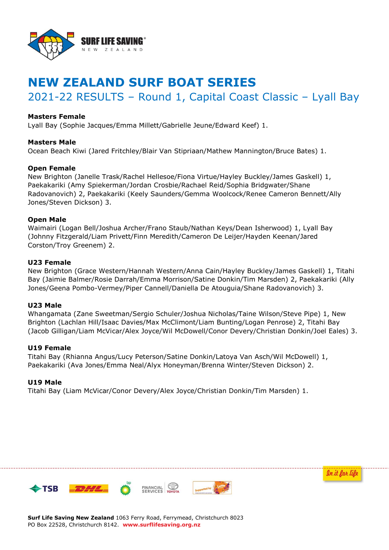

# **NEW ZEALAND SURF BOAT SERIES**

# 2021-22 RESULTS – Round 1, Capital Coast Classic – Lyall Bay

## **Masters Female**

Lyall Bay (Sophie Jacques/Emma Millett/Gabrielle Jeune/Edward Keef) 1.

### **Masters Male**

Ocean Beach Kiwi (Jared Fritchley/Blair Van Stipriaan/Mathew Mannington/Bruce Bates) 1.

### **Open Female**

New Brighton (Janelle Trask/Rachel Hellesoe/Fiona Virtue/Hayley Buckley/James Gaskell) 1, Paekakariki (Amy Spiekerman/Jordan Crosbie/Rachael Reid/Sophia Bridgwater/Shane Radovanovich) 2, Paekakariki (Keely Saunders/Gemma Woolcock/Renee Cameron Bennett/Ally Jones/Steven Dickson) 3.

### **Open Male**

Waimairi (Logan Bell/Joshua Archer/Frano Staub/Nathan Keys/Dean Isherwood) 1, Lyall Bay (Johnny Fitzgerald/Liam Privett/Finn Meredith/Cameron De Leijer/Hayden Keenan/Jared Corston/Troy Greenem) 2.

### **U23 Female**

New Brighton (Grace Western/Hannah Western/Anna Cain/Hayley Buckley/James Gaskell) 1, Titahi Bay (Jaimie Balmer/Rosie Darrah/Emma Morrison/Satine Donkin/Tim Marsden) 2, Paekakariki (Ally Jones/Geena Pombo-Vermey/Piper Cannell/Daniella De Atouguia/Shane Radovanovich) 3.

#### **U23 Male**

Whangamata (Zane Sweetman/Sergio Schuler/Joshua Nicholas/Taine Wilson/Steve Pipe) 1, New Brighton (Lachlan Hill/Isaac Davies/Max McClimont/Liam Bunting/Logan Penrose) 2, Titahi Bay (Jacob Gilligan/Liam McVicar/Alex Joyce/Wil McDowell/Conor Devery/Christian Donkin/Joel Eales) 3.

#### **U19 Female**

Titahi Bay (Rhianna Angus/Lucy Peterson/Satine Donkin/Latoya Van Asch/Wil McDowell) 1, Paekakariki (Ava Jones/Emma Neal/Alyx Honeyman/Brenna Winter/Steven Dickson) 2.

#### **U19 Male**

Titahi Bay (Liam McVicar/Conor Devery/Alex Joyce/Christian Donkin/Tim Marsden) 1.





**Surf Life Saving New Zealand** 1063 Ferry Road, Ferrymead, Christchurch 8023 PO Box 22528, Christchurch 8142. **www.surflifesaving.org.nz**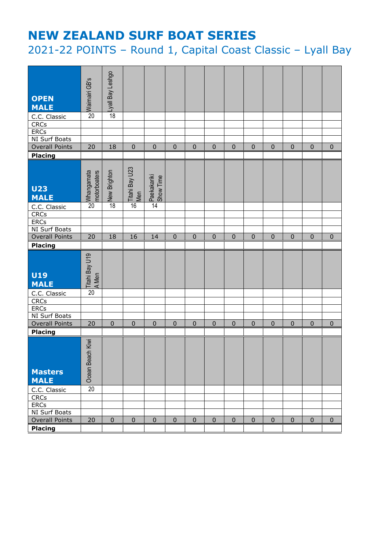# **NEW ZEALAND SURF BOAT SERIES**

2021-22 POINTS – Round 1, Capital Coast Classic – Lyall Bay

| <b>OPEN</b><br><b>MALE</b>                      | el Waimairi GB's           | oples) Veg lie/  |                              |                          |                |              |           |                |              |             |                |              |             |
|-------------------------------------------------|----------------------------|------------------|------------------------------|--------------------------|----------------|--------------|-----------|----------------|--------------|-------------|----------------|--------------|-------------|
| C.C. Classic                                    |                            |                  |                              |                          |                |              |           |                |              |             |                |              |             |
| <b>CRCs</b>                                     |                            |                  |                              |                          |                |              |           |                |              |             |                |              |             |
| <b>ERCs</b>                                     |                            |                  |                              |                          |                |              |           |                |              |             |                |              |             |
| NI Surf Boats                                   |                            |                  |                              |                          |                |              |           |                |              |             |                |              |             |
| <b>Overall Points</b>                           | 20                         | 18               | $\overline{0}$               | $\overline{0}$           | $\overline{0}$ | $\mathbf 0$  | $\pmb{0}$ | $\mathbf 0$    | $\mathbf 0$  | $\mathbf 0$ | $\mathbf 0$    | $\mathbf 0$  | $\mathbf 0$ |
| <b>Placing</b>                                  |                            |                  |                              |                          |                |              |           |                |              |             |                |              |             |
| <b>U23</b><br><b>MALE</b>                       | Mhangamata<br>motorboaters | New Brighton     | <b>Titahi Bay U23</b><br>Men | Paekakariki<br>Show Time |                |              |           |                |              |             |                |              |             |
| C.C. Classic<br><b>CRCs</b>                     |                            | $\overline{18}$  | 16                           | $\overline{14}$          |                |              |           |                |              |             |                |              |             |
| <b>ERCs</b>                                     |                            |                  |                              |                          |                |              |           |                |              |             |                |              |             |
| NI Surf Boats                                   |                            |                  |                              |                          |                |              |           |                |              |             |                |              |             |
| <b>Overall Points</b>                           | 20                         | 18               | 16                           | 14                       | $\mathbf 0$    | $\mathbf 0$  | $\pmb{0}$ | $\mathbf 0$    | $\mathbf 0$  | $\pmb{0}$   | $\mathbf{0}$   | $\mathbf 0$  | 0           |
| <b>Placing</b>                                  |                            |                  |                              |                          |                |              |           |                |              |             |                |              |             |
| <b>U19</b><br><b>MALE</b>                       | Titahi Bay U19<br>A Men    |                  |                              |                          |                |              |           |                |              |             |                |              |             |
| C.C. Classic                                    | 20                         |                  |                              |                          |                |              |           |                |              |             |                |              |             |
| <b>CRCs</b>                                     |                            |                  |                              |                          |                |              |           |                |              |             |                |              |             |
| ERCs                                            |                            |                  |                              |                          |                |              |           |                |              |             |                |              |             |
| NI Surf Boats                                   | 20                         | $\mathbf{0}$     | $\mathbf{0}$                 | $\mathbf 0$              | $\mathbf{0}$   |              | $\pmb{0}$ | $\overline{0}$ |              | $\mathbf 0$ |                |              |             |
| <b>Overall Points</b>                           |                            |                  |                              |                          |                | $\mathbf 0$  |           |                | $\mathbf{0}$ |             | $\overline{0}$ | $\mathbf{0}$ | $\pmb{0}$   |
| <b>Placing</b><br><b>Masters</b><br><b>MALE</b> | Ocean Beach Kiwi           |                  |                              |                          |                |              |           |                |              |             |                |              |             |
| C.C. Classic                                    | $\overline{20}$            |                  |                              |                          |                |              |           |                |              |             |                |              |             |
| <b>CRCs</b>                                     |                            |                  |                              |                          |                |              |           |                |              |             |                |              |             |
| <b>ERCS</b>                                     |                            |                  |                              |                          |                |              |           |                |              |             |                |              |             |
| NI Surf Boats                                   |                            |                  |                              |                          |                |              |           |                |              |             |                |              |             |
| <b>Overall Points</b>                           | 20                         | $\boldsymbol{0}$ | $\mathbf 0$                  | $\mathbf 0$              | $\mathbf 0$    | $\mathbf{0}$ | $\pmb{0}$ | $\pmb{0}$      | $\mathbf 0$  | $\pmb{0}$   | $\mathbf{0}$   | $\mathbf 0$  | $\pmb{0}$   |
| <b>Placing</b>                                  |                            |                  |                              |                          |                |              |           |                |              |             |                |              |             |